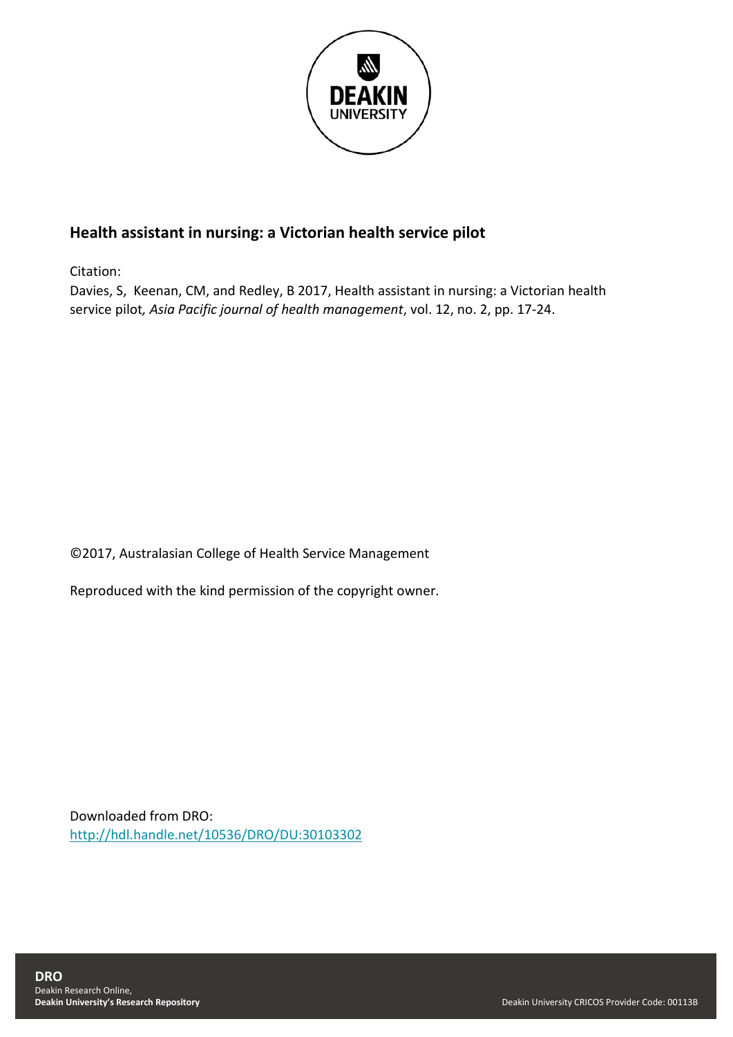

# **Health assistant in nursing: a Victorian health service pilot**

Citation:

Davies, S, Keenan, CM, and Redley, B 2017, Health assistant in nursing: a Victorian health service pilot*, Asia Pacific journal of health management*, vol. 12, no. 2, pp. 17-24.

©2017, Australasian College of Health Service Management

Reproduced with the kind permission of the copyright owner.

Downloaded from DRO: <http://hdl.handle.net/10536/DRO/DU:30103302>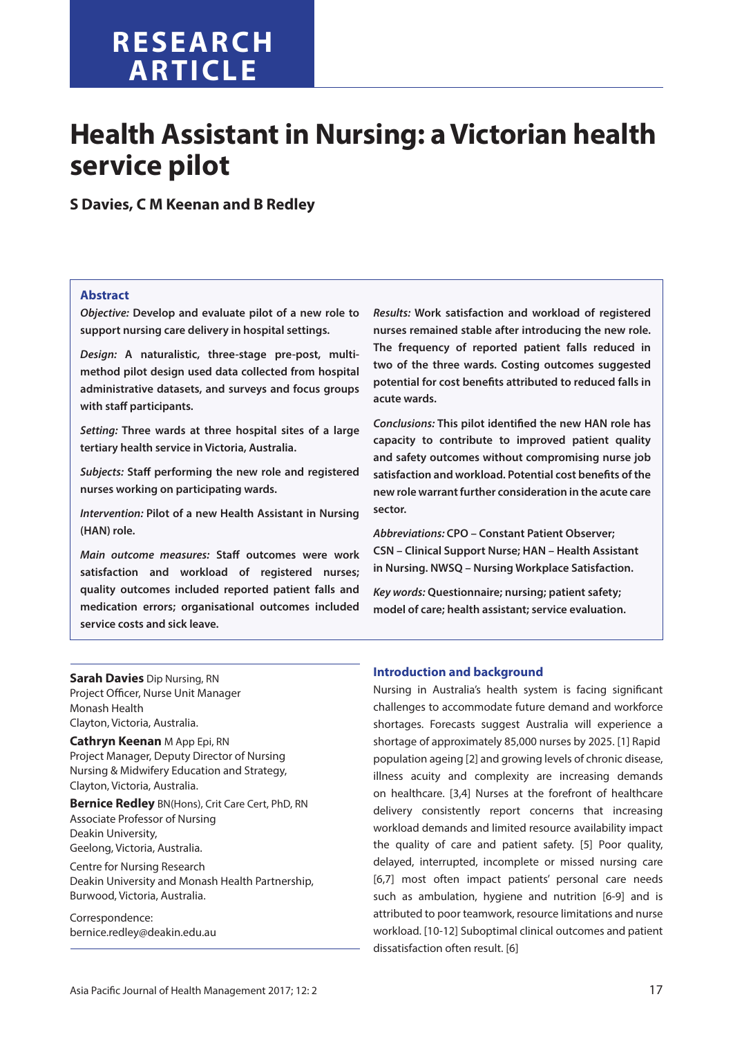# **RESEARCH article**

# **Health Assistant in Nursing: a Victorian health service pilot**

**S Davies, C M Keenan and B Redley**

# **Abstract**

*Objective:* **Develop and evaluate pilot of a new role to support nursing care delivery in hospital settings.**

*Design:* **A naturalistic, three-stage pre-post, multimethod pilot design used data collected from hospital administrative datasets, and surveys and focus groups with staff participants.**

*Setting:* **Three wards at three hospital sites of a large tertiary health service in Victoria, Australia.**

*Subjects:* **Staff performing the new role and registered nurses working on participating wards.**

*Intervention:* **Pilot of a new Health Assistant in Nursing (HAN) role.**

*Main outcome measures:* **Staff outcomes were work satisfaction and workload of registered nurses; quality outcomes included reported patient falls and medication errors; organisational outcomes included service costs and sick leave.**

*Results:* **Work satisfaction and workload of registered nurses remained stable after introducing the new role. The frequency of reported patient falls reduced in two of the three wards. Costing outcomes suggested potential for cost benefits attributed to reduced falls in acute wards.**

*Conclusions:* **This pilot identified the new HAN role has capacity to contribute to improved patient quality and safety outcomes without compromising nurse job satisfaction and workload. Potential cost benefits of the new role warrant further consideration in the acute care sector.**

*Abbreviations:* **CPO – Constant Patient Observer; CSN – Clinical Support Nurse; HAN – Health Assistant in Nursing. NWSQ – Nursing Workplace Satisfaction.**

*Key words:* **Questionnaire; nursing; patient safety; model of care; health assistant; service evaluation.**

**Sarah Davies** Dip Nursing, RN Project Officer, Nurse Unit Manager Monash Health Clayton, Victoria, Australia.

**Cathryn Keenan** M App Epi, RN Project Manager, Deputy Director of Nursing Nursing & Midwifery Education and Strategy, Clayton, Victoria, Australia.

**Bernice Redley** BN(Hons), Crit Care Cert, PhD, RN Associate Professor of Nursing Deakin University, Geelong, Victoria, Australia.

Centre for Nursing Research Deakin University and Monash Health Partnership, Burwood, Victoria, Australia.

Correspondence: bernice.redley@deakin.edu.au

# **Introduction and background**

Nursing in Australia's health system is facing significant challenges to accommodate future demand and workforce shortages. Forecasts suggest Australia will experience a shortage of approximately 85,000 nurses by 2025. [1] Rapid population ageing [2] and growing levels of chronic disease, illness acuity and complexity are increasing demands on healthcare. [3,4] Nurses at the forefront of healthcare delivery consistently report concerns that increasing workload demands and limited resource availability impact the quality of care and patient safety. [5] Poor quality, delayed, interrupted, incomplete or missed nursing care [6,7] most often impact patients' personal care needs such as ambulation, hygiene and nutrition [6-9] and is attributed to poor teamwork, resource limitations and nurse workload. [10-12] Suboptimal clinical outcomes and patient dissatisfaction often result. [6]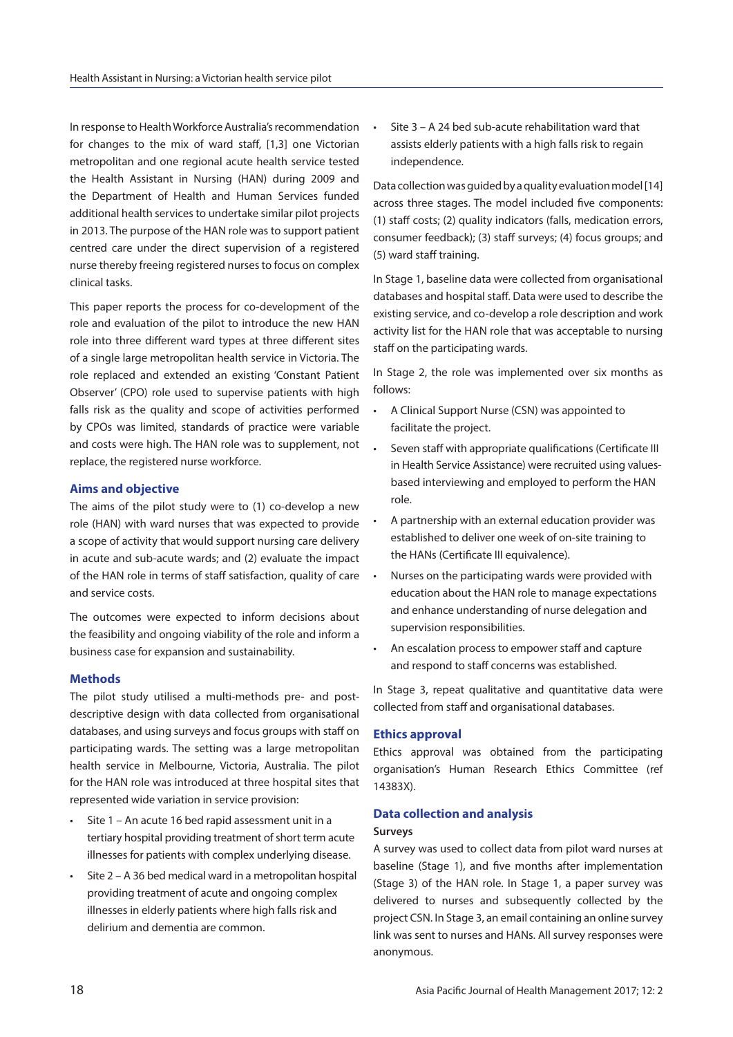In response to Health Workforce Australia's recommendation for changes to the mix of ward staff, [1,3] one Victorian metropolitan and one regional acute health service tested the Health Assistant in Nursing (HAN) during 2009 and the Department of Health and Human Services funded additional health services to undertake similar pilot projects in 2013. The purpose of the HAN role was to support patient centred care under the direct supervision of a registered nurse thereby freeing registered nurses to focus on complex clinical tasks.

This paper reports the process for co-development of the role and evaluation of the pilot to introduce the new HAN role into three different ward types at three different sites of a single large metropolitan health service in Victoria. The role replaced and extended an existing 'Constant Patient Observer' (CPO) role used to supervise patients with high falls risk as the quality and scope of activities performed by CPOs was limited, standards of practice were variable and costs were high. The HAN role was to supplement, not replace, the registered nurse workforce.

#### **Aims and objective**

The aims of the pilot study were to (1) co-develop a new role (HAN) with ward nurses that was expected to provide a scope of activity that would support nursing care delivery in acute and sub-acute wards; and (2) evaluate the impact of the HAN role in terms of staff satisfaction, quality of care and service costs.

The outcomes were expected to inform decisions about the feasibility and ongoing viability of the role and inform a business case for expansion and sustainability.

# **Methods**

The pilot study utilised a multi-methods pre- and postdescriptive design with data collected from organisational databases, and using surveys and focus groups with staff on participating wards. The setting was a large metropolitan health service in Melbourne, Victoria, Australia. The pilot for the HAN role was introduced at three hospital sites that represented wide variation in service provision:

- Site 1 An acute 16 bed rapid assessment unit in a tertiary hospital providing treatment of short term acute illnesses for patients with complex underlying disease.
- Site 2 A 36 bed medical ward in a metropolitan hospital providing treatment of acute and ongoing complex illnesses in elderly patients where high falls risk and delirium and dementia are common.

• Site 3 – A 24 bed sub-acute rehabilitation ward that assists elderly patients with a high falls risk to regain independence.

Data collection was guided by a quality evaluation model [14] across three stages. The model included five components: (1) staff costs; (2) quality indicators (falls, medication errors, consumer feedback); (3) staff surveys; (4) focus groups; and (5) ward staff training.

In Stage 1, baseline data were collected from organisational databases and hospital staff. Data were used to describe the existing service, and co-develop a role description and work activity list for the HAN role that was acceptable to nursing staff on the participating wards.

In Stage 2, the role was implemented over six months as follows:

- A Clinical Support Nurse (CSN) was appointed to facilitate the project.
- Seven staff with appropriate qualifications (Certificate III in Health Service Assistance) were recruited using valuesbased interviewing and employed to perform the HAN role.
- A partnership with an external education provider was established to deliver one week of on-site training to the HANs (Certificate III equivalence).
- Nurses on the participating wards were provided with education about the HAN role to manage expectations and enhance understanding of nurse delegation and supervision responsibilities.
- An escalation process to empower staff and capture and respond to staff concerns was established.

In Stage 3, repeat qualitative and quantitative data were collected from staff and organisational databases.

# **Ethics approval**

Ethics approval was obtained from the participating organisation's Human Research Ethics Committee (ref 14383X).

# **Data collection and analysis**

#### **Surveys**

A survey was used to collect data from pilot ward nurses at baseline (Stage 1), and five months after implementation (Stage 3) of the HAN role. In Stage 1, a paper survey was delivered to nurses and subsequently collected by the project CSN. In Stage 3, an email containing an online survey link was sent to nurses and HANs. All survey responses were anonymous.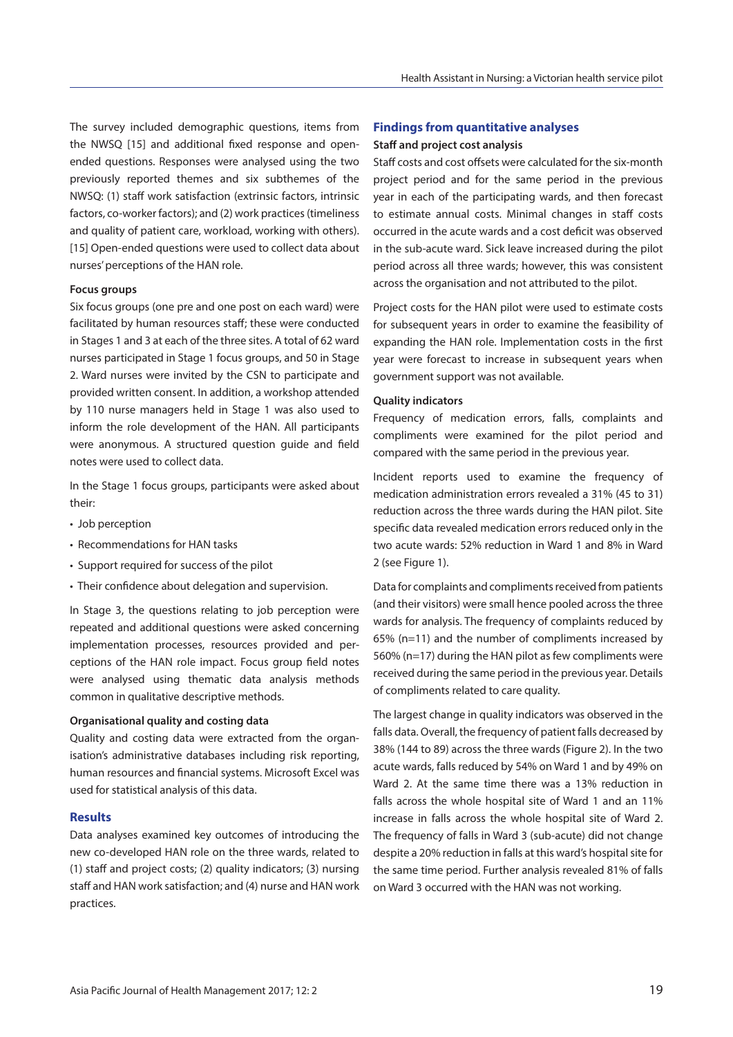The survey included demographic questions, items from the NWSQ [15] and additional fixed response and openended questions. Responses were analysed using the two previously reported themes and six subthemes of the NWSQ: (1) staff work satisfaction (extrinsic factors, intrinsic factors, co-worker factors); and (2) work practices (timeliness and quality of patient care, workload, working with others). [15] Open-ended questions were used to collect data about nurses' perceptions of the HAN role.

#### **Focus groups**

Six focus groups (one pre and one post on each ward) were facilitated by human resources staff; these were conducted in Stages 1 and 3 at each of the three sites. A total of 62 ward nurses participated in Stage 1 focus groups, and 50 in Stage 2. Ward nurses were invited by the CSN to participate and provided written consent. In addition, a workshop attended by 110 nurse managers held in Stage 1 was also used to inform the role development of the HAN. All participants were anonymous. A structured question guide and field notes were used to collect data.

In the Stage 1 focus groups, participants were asked about their:

- Job perception
- Recommendations for HAN tasks
- Support required for success of the pilot
- Their confidence about delegation and supervision.

In Stage 3, the questions relating to job perception were repeated and additional questions were asked concerning implementation processes, resources provided and perceptions of the HAN role impact. Focus group field notes were analysed using thematic data analysis methods common in qualitative descriptive methods.

#### **Organisational quality and costing data**

Quality and costing data were extracted from the organisation's administrative databases including risk reporting, human resources and financial systems. Microsoft Excel was used for statistical analysis of this data.

#### **Results**

Data analyses examined key outcomes of introducing the new co-developed HAN role on the three wards, related to (1) staff and project costs; (2) quality indicators; (3) nursing staff and HAN work satisfaction; and (4) nurse and HAN work practices.

# **Findings from quantitative analyses**

#### **Staff and project cost analysis**

Staff costs and cost offsets were calculated for the six-month project period and for the same period in the previous year in each of the participating wards, and then forecast to estimate annual costs. Minimal changes in staff costs occurred in the acute wards and a cost deficit was observed in the sub-acute ward. Sick leave increased during the pilot period across all three wards; however, this was consistent across the organisation and not attributed to the pilot.

Project costs for the HAN pilot were used to estimate costs for subsequent years in order to examine the feasibility of expanding the HAN role. Implementation costs in the first year were forecast to increase in subsequent years when government support was not available.

#### **Quality indicators**

Frequency of medication errors, falls, complaints and compliments were examined for the pilot period and compared with the same period in the previous year.

Incident reports used to examine the frequency of medication administration errors revealed a 31% (45 to 31) reduction across the three wards during the HAN pilot. Site specific data revealed medication errors reduced only in the two acute wards: 52% reduction in Ward 1 and 8% in Ward 2 (see Figure 1).

Data for complaints and compliments received from patients (and their visitors) were small hence pooled across the three wards for analysis. The frequency of complaints reduced by 65% (n=11) and the number of compliments increased by 560% (n=17) during the HAN pilot as few compliments were received during the same period in the previous year. Details of compliments related to care quality.

The largest change in quality indicators was observed in the falls data. Overall, the frequency of patient falls decreased by 38% (144 to 89) across the three wards (Figure 2). In the two acute wards, falls reduced by 54% on Ward 1 and by 49% on Ward 2. At the same time there was a 13% reduction in falls across the whole hospital site of Ward 1 and an 11% increase in falls across the whole hospital site of Ward 2. The frequency of falls in Ward 3 (sub-acute) did not change despite a 20% reduction in falls at this ward's hospital site for the same time period. Further analysis revealed 81% of falls on Ward 3 occurred with the HAN was not working.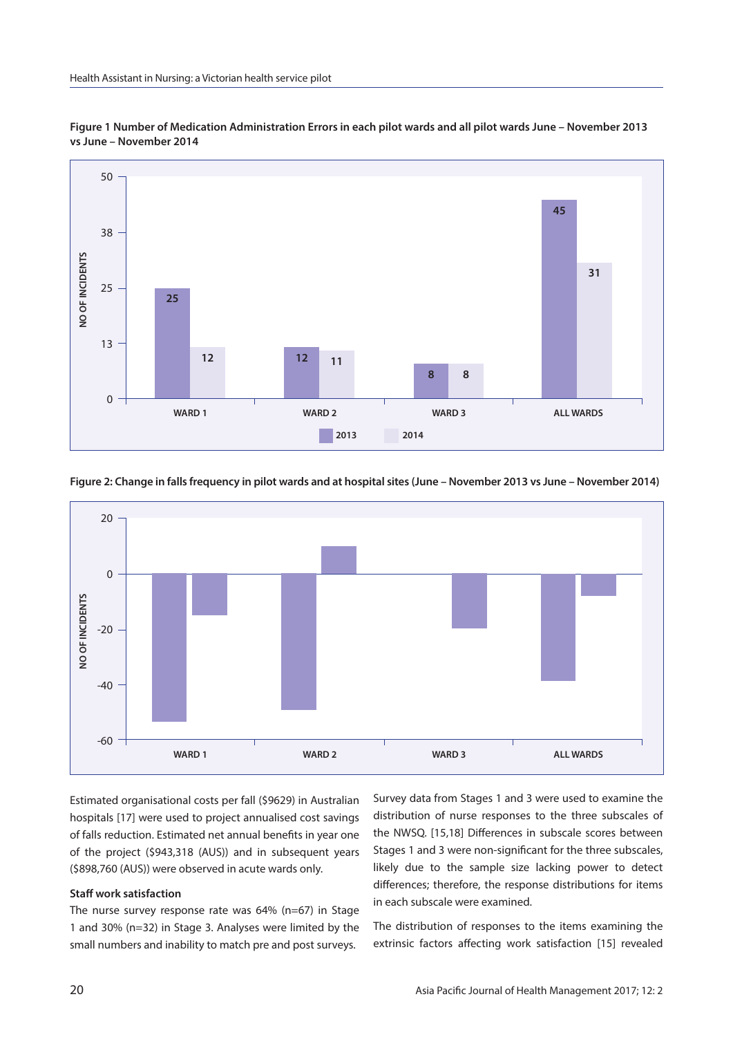

**Figure 1 Number of Medication Administration Errors in each pilot wards and all pilot wards June – November 2013 vs June – November 2014**

**Figure 2: Change in falls frequency in pilot wards and at hospital sites (June – November 2013 vs June – November 2014)**



Estimated organisational costs per fall (\$9629) in Australian hospitals [17] were used to project annualised cost savings of falls reduction. Estimated net annual benefits in year one of the project (\$943,318 (AUS)) and in subsequent years (\$898,760 (AUS)) were observed in acute wards only.

# **Staff work satisfaction**

The nurse survey response rate was 64% (n=67) in Stage 1 and 30% (n=32) in Stage 3. Analyses were limited by the small numbers and inability to match pre and post surveys.

Survey data from Stages 1 and 3 were used to examine the distribution of nurse responses to the three subscales of the NWSQ. [15,18] Differences in subscale scores between Stages 1 and 3 were non-significant for the three subscales, likely due to the sample size lacking power to detect differences; therefore, the response distributions for items in each subscale were examined.

The distribution of responses to the items examining the extrinsic factors affecting work satisfaction [15] revealed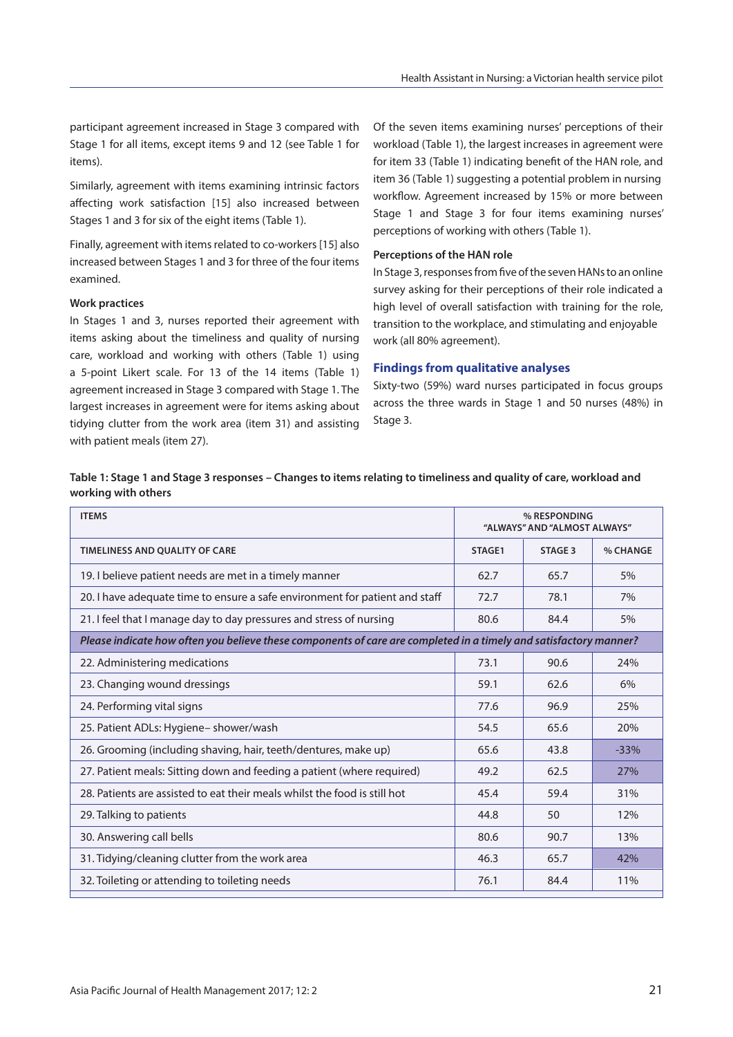participant agreement increased in Stage 3 compared with Stage 1 for all items, except items 9 and 12 (see Table 1 for items).

Similarly, agreement with items examining intrinsic factors affecting work satisfaction [15] also increased between Stages 1 and 3 for six of the eight items (Table 1).

Finally, agreement with items related to co-workers [15] also increased between Stages 1 and 3 for three of the four items examined.

# **Work practices**

In Stages 1 and 3, nurses reported their agreement with items asking about the timeliness and quality of nursing care, workload and working with others (Table 1) using a 5-point Likert scale. For 13 of the 14 items (Table 1) agreement increased in Stage 3 compared with Stage 1. The largest increases in agreement were for items asking about tidying clutter from the work area (item 31) and assisting with patient meals (item 27).

Of the seven items examining nurses' perceptions of their workload (Table 1), the largest increases in agreement were for item 33 (Table 1) indicating benefit of the HAN role, and item 36 (Table 1) suggesting a potential problem in nursing workflow. Agreement increased by 15% or more between Stage 1 and Stage 3 for four items examining nurses' perceptions of working with others (Table 1).

#### **Perceptions of the HAN role**

In Stage 3, responses from five of the seven HANs to an online survey asking for their perceptions of their role indicated a high level of overall satisfaction with training for the role, transition to the workplace, and stimulating and enjoyable work (all 80% agreement).

# **Findings from qualitative analyses**

Sixty-two (59%) ward nurses participated in focus groups across the three wards in Stage 1 and 50 nurses (48%) in Stage 3.

# **Table 1: Stage 1 and Stage 3 responses – Changes to items relating to timeliness and quality of care, workload and working with others**

| <b>ITEMS</b>                                                                                                      | % RESPONDING<br>"ALWAYS" AND "ALMOST ALWAYS" |         |          |  |
|-------------------------------------------------------------------------------------------------------------------|----------------------------------------------|---------|----------|--|
| <b>TIMELINESS AND OUALITY OF CARE</b>                                                                             | STAGE1                                       | STAGE 3 | % CHANGE |  |
| 19. I believe patient needs are met in a timely manner                                                            | 62.7                                         | 65.7    | 5%       |  |
| 20. I have adequate time to ensure a safe environment for patient and staff                                       | 72.7                                         | 78.1    | 7%       |  |
| 21. I feel that I manage day to day pressures and stress of nursing                                               | 80.6                                         | 84.4    | 5%       |  |
| Please indicate how often you believe these components of care are completed in a timely and satisfactory manner? |                                              |         |          |  |
| 22. Administering medications                                                                                     | 73.1                                         | 90.6    | 24%      |  |
| 23. Changing wound dressings                                                                                      | 59.1                                         | 62.6    | 6%       |  |
| 24. Performing vital signs                                                                                        | 77.6                                         | 96.9    | 25%      |  |
| 25. Patient ADLs: Hygiene- shower/wash                                                                            | 54.5                                         | 65.6    | 20%      |  |
| 26. Grooming (including shaving, hair, teeth/dentures, make up)                                                   | 65.6                                         | 43.8    | $-33%$   |  |
| 27. Patient meals: Sitting down and feeding a patient (where required)                                            | 49.2                                         | 62.5    | 27%      |  |
| 28. Patients are assisted to eat their meals whilst the food is still hot                                         | 45.4                                         | 59.4    | 31%      |  |
| 29. Talking to patients                                                                                           | 44.8                                         | 50      | 12%      |  |
| 30. Answering call bells                                                                                          | 80.6                                         | 90.7    | 13%      |  |
| 31. Tidying/cleaning clutter from the work area                                                                   | 46.3                                         | 65.7    | 42%      |  |
| 32. Toileting or attending to toileting needs                                                                     | 76.1                                         | 84.4    | 11%      |  |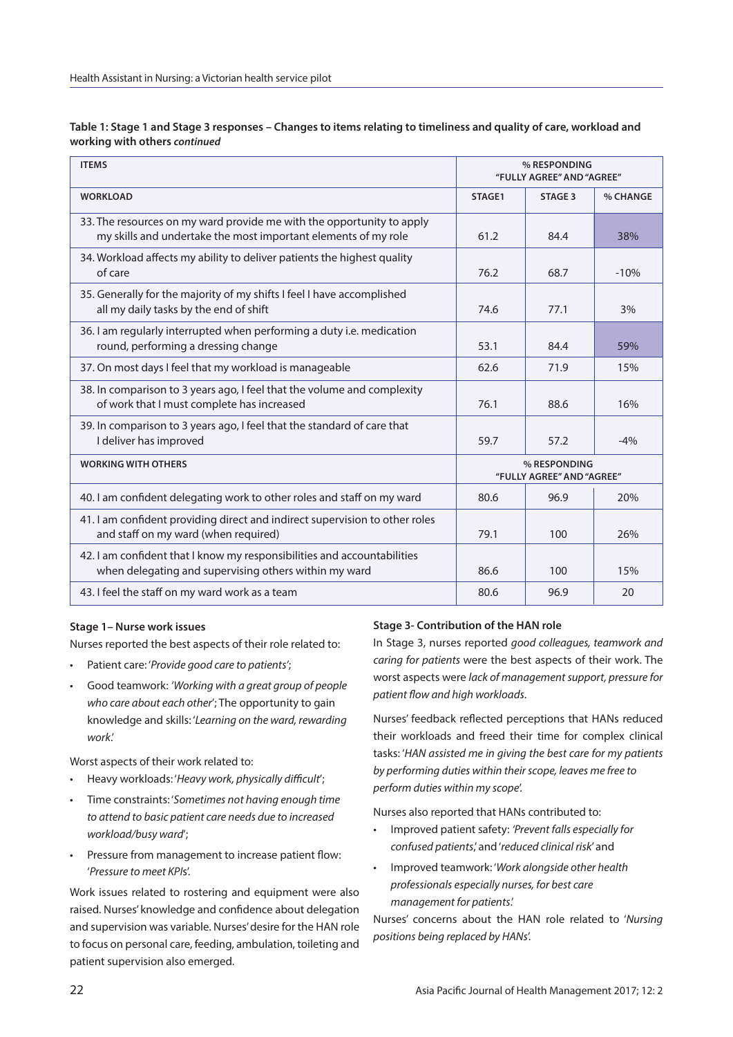| <b>ITEMS</b>                                                                                                                            | % RESPONDING<br>"FULLY AGREE" AND "AGREE" |         |          |
|-----------------------------------------------------------------------------------------------------------------------------------------|-------------------------------------------|---------|----------|
| <b>WORKLOAD</b>                                                                                                                         | STAGE1                                    | STAGE 3 | % CHANGE |
| 33. The resources on my ward provide me with the opportunity to apply<br>my skills and undertake the most important elements of my role | 61.2                                      | 84.4    | 38%      |
| 34. Workload affects my ability to deliver patients the highest quality<br>of care                                                      | 76.2                                      | 68.7    | $-10%$   |
| 35. Generally for the majority of my shifts I feel I have accomplished<br>all my daily tasks by the end of shift                        | 74.6                                      | 77.1    | 3%       |
| 36. I am regularly interrupted when performing a duty i.e. medication<br>round, performing a dressing change                            | 53.1                                      | 84.4    | 59%      |
| 37. On most days I feel that my workload is manageable                                                                                  | 62.6                                      | 71.9    | 15%      |
| 38. In comparison to 3 years ago, I feel that the volume and complexity<br>of work that I must complete has increased                   | 76.1                                      | 88.6    | 16%      |
| 39. In comparison to 3 years ago, I feel that the standard of care that<br>I deliver has improved                                       | 59.7                                      | 57.2    | $-4%$    |
| <b>WORKING WITH OTHERS</b>                                                                                                              | % RESPONDING<br>"FULLY AGREE" AND "AGREE" |         |          |
| 40. I am confident delegating work to other roles and staff on my ward                                                                  | 80.6                                      | 96.9    | 20%      |
| 41. I am confident providing direct and indirect supervision to other roles<br>and staff on my ward (when required)                     | 79.1                                      | 100     | 26%      |
| 42. I am confident that I know my responsibilities and accountabilities<br>when delegating and supervising others within my ward        | 86.6                                      | 100     | 15%      |
| 43. I feel the staff on my ward work as a team                                                                                          | 80.6                                      | 96.9    | 20       |

**Table 1: Stage 1 and Stage 3 responses – Changes to items relating to timeliness and quality of care, workload and working with others** *continued*

# **Stage 1– Nurse work issues**

Nurses reported the best aspects of their role related to:

- Patient care: '*Provide good care to patients'*;
- Good teamwork: *'Working with a great group of people who care about each other*'; The opportunity to gain knowledge and skills: '*Learning on the ward, rewarding work*.'

Worst aspects of their work related to:

- Heavy workloads: '*Heavy work, physically difficult*';
- Time constraints: '*Sometimes not having enough time to attend to basic patient care needs due to increased workload/busy ward*';
- Pressure from management to increase patient flow: '*Pressure to meet KPI*s'.

Work issues related to rostering and equipment were also raised. Nurses' knowledge and confidence about delegation and supervision was variable. Nurses' desire for the HAN role to focus on personal care, feeding, ambulation, toileting and patient supervision also emerged.

# **Stage 3- Contribution of the HAN role**

In Stage 3, nurses reported *good colleagues, teamwork and caring for patients* were the best aspects of their work. The worst aspects were *lack of management support, pressure for patient flow and high workloads*.

Nurses' feedback reflected perceptions that HANs reduced their workloads and freed their time for complex clinical tasks: '*HAN assisted me in giving the best care for my patients by performing duties within their scope, leaves me free to perform duties within my scope*'.

Nurses also reported that HANs contributed to:

- Improved patient safety: *'Prevent falls especially for confused patients*,' and '*reduced clinical risk*' and
- Improved teamwork: '*Work alongside other health professionals especially nurses, for best care management for patients*.'

Nurses' concerns about the HAN role related to '*Nursing positions being replaced by HANs*'.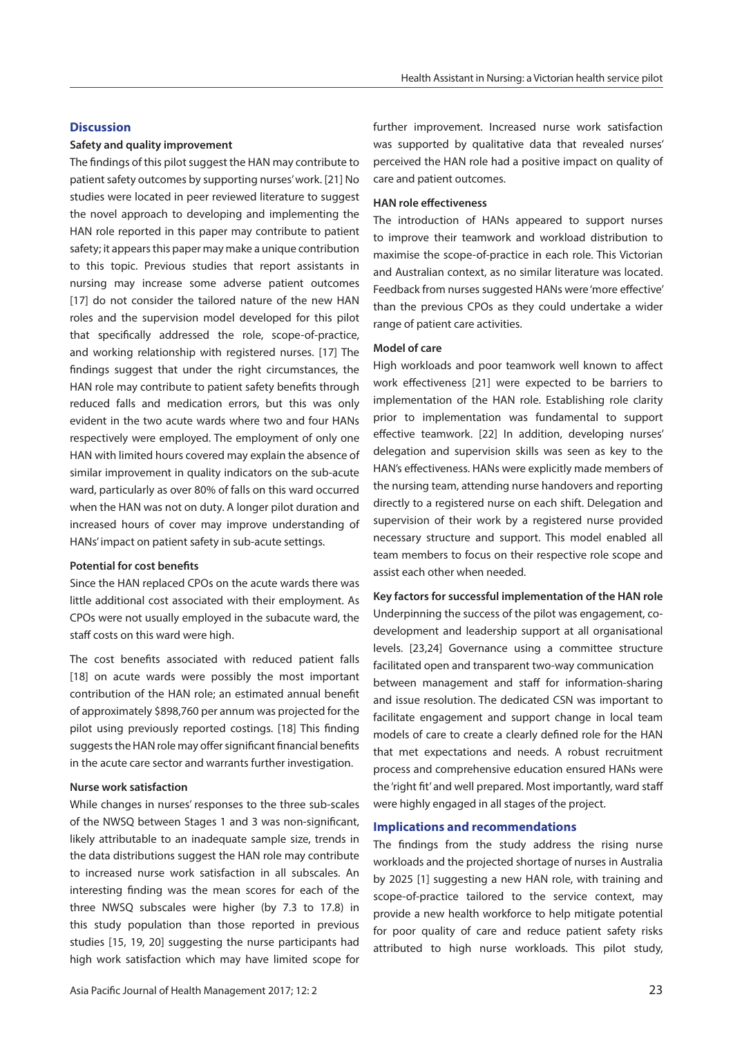#### **Discussion**

#### **Safety and quality improvement**

The findings of this pilot suggest the HAN may contribute to patient safety outcomes by supporting nurses' work. [21] No studies were located in peer reviewed literature to suggest the novel approach to developing and implementing the HAN role reported in this paper may contribute to patient safety; it appears this paper may make a unique contribution to this topic. Previous studies that report assistants in nursing may increase some adverse patient outcomes [17] do not consider the tailored nature of the new HAN roles and the supervision model developed for this pilot that specifically addressed the role, scope-of-practice, and working relationship with registered nurses. [17] The findings suggest that under the right circumstances, the HAN role may contribute to patient safety benefits through reduced falls and medication errors, but this was only evident in the two acute wards where two and four HANs respectively were employed. The employment of only one HAN with limited hours covered may explain the absence of similar improvement in quality indicators on the sub-acute ward, particularly as over 80% of falls on this ward occurred when the HAN was not on duty. A longer pilot duration and increased hours of cover may improve understanding of HANs' impact on patient safety in sub-acute settings.

#### **Potential for cost benefits**

Since the HAN replaced CPOs on the acute wards there was little additional cost associated with their employment. As CPOs were not usually employed in the subacute ward, the staff costs on this ward were high.

The cost benefits associated with reduced patient falls [18] on acute wards were possibly the most important contribution of the HAN role; an estimated annual benefit of approximately \$898,760 per annum was projected for the pilot using previously reported costings. [18] This finding suggests the HAN role may offer significant financial benefits in the acute care sector and warrants further investigation.

#### **Nurse work satisfaction**

While changes in nurses' responses to the three sub-scales of the NWSQ between Stages 1 and 3 was non-significant, likely attributable to an inadequate sample size, trends in the data distributions suggest the HAN role may contribute to increased nurse work satisfaction in all subscales. An interesting finding was the mean scores for each of the three NWSQ subscales were higher (by 7.3 to 17.8) in this study population than those reported in previous studies [15, 19, 20] suggesting the nurse participants had high work satisfaction which may have limited scope for

further improvement. Increased nurse work satisfaction was supported by qualitative data that revealed nurses' perceived the HAN role had a positive impact on quality of care and patient outcomes.

#### **HAN role effectiveness**

The introduction of HANs appeared to support nurses to improve their teamwork and workload distribution to maximise the scope-of-practice in each role. This Victorian and Australian context, as no similar literature was located. Feedback from nurses suggested HANs were 'more effective' than the previous CPOs as they could undertake a wider range of patient care activities.

#### **Model of care**

High workloads and poor teamwork well known to affect work effectiveness [21] were expected to be barriers to implementation of the HAN role. Establishing role clarity prior to implementation was fundamental to support effective teamwork. [22] In addition, developing nurses' delegation and supervision skills was seen as key to the HAN's effectiveness. HANs were explicitly made members of the nursing team, attending nurse handovers and reporting directly to a registered nurse on each shift. Delegation and supervision of their work by a registered nurse provided necessary structure and support. This model enabled all team members to focus on their respective role scope and assist each other when needed.

**Key factors for successful implementation of the HAN role** Underpinning the success of the pilot was engagement, codevelopment and leadership support at all organisational levels. [23,24] Governance using a committee structure facilitated open and transparent two-way communication between management and staff for information-sharing and issue resolution. The dedicated CSN was important to facilitate engagement and support change in local team models of care to create a clearly defined role for the HAN that met expectations and needs. A robust recruitment process and comprehensive education ensured HANs were the 'right fit' and well prepared. Most importantly, ward staff were highly engaged in all stages of the project.

#### **Implications and recommendations**

The findings from the study address the rising nurse workloads and the projected shortage of nurses in Australia by 2025 [1] suggesting a new HAN role, with training and scope-of-practice tailored to the service context, may provide a new health workforce to help mitigate potential for poor quality of care and reduce patient safety risks attributed to high nurse workloads. This pilot study,